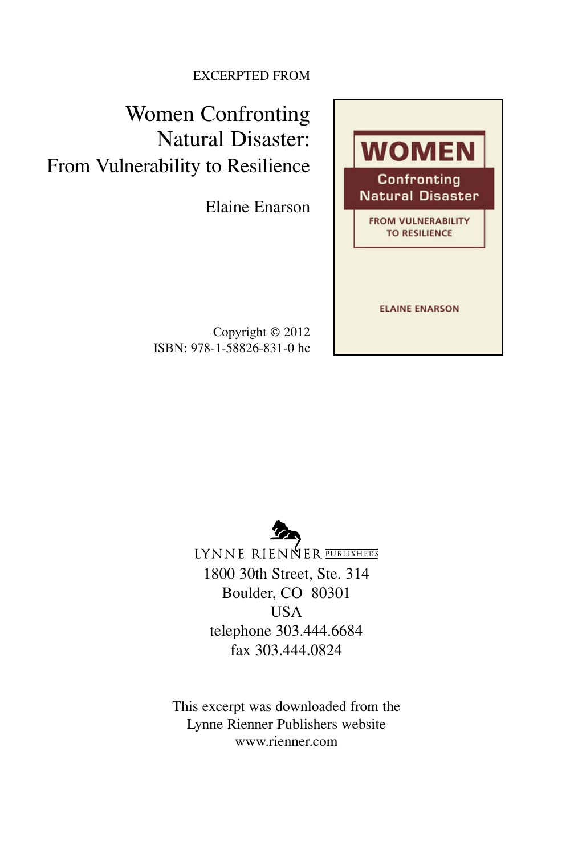EXCERPTED FROM

Women Confronting Natural Disaster: From Vulnerability to Resilience

Elaine Enarson

Copyright © 2012 ISBN: 978-1-58826-831-0 hc



LYNNE RIENNER PUBLISHERS 1800 30th Street, Ste. 314 Boulder, CO 80301 **USA** telephone 303.444.6684 fax 303.444.0824

This excerpt was downloaded from the Lynne Rienner Publishers website www.rienner.com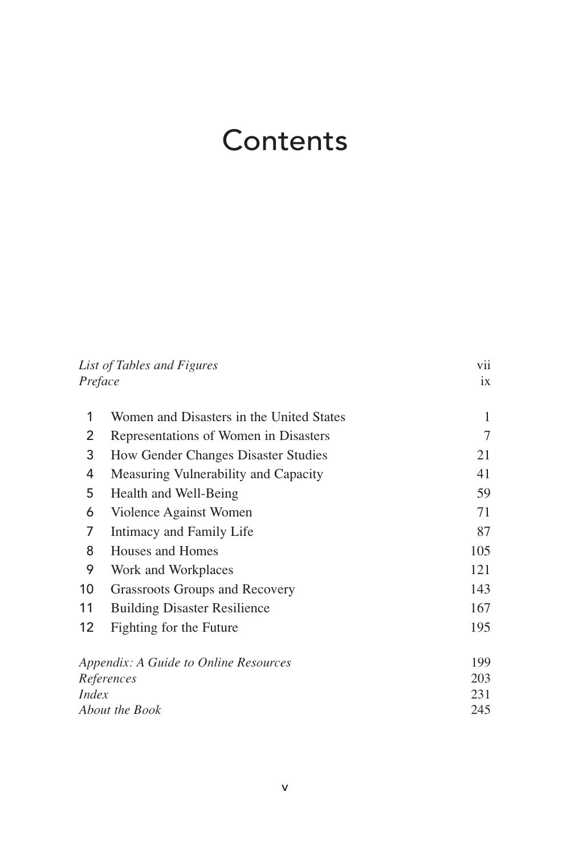## Contents

| List of Tables and Figures<br>Preface |                                          | vii |
|---------------------------------------|------------------------------------------|-----|
|                                       |                                          | ix  |
| 1                                     | Women and Disasters in the United States | 1   |
| 2                                     | Representations of Women in Disasters    | 7   |
| 3                                     | How Gender Changes Disaster Studies      | 21  |
| 4                                     | Measuring Vulnerability and Capacity     | 41  |
| 5                                     | Health and Well-Being                    | 59  |
| 6                                     | Violence Against Women                   | 71  |
| 7                                     | Intimacy and Family Life                 | 87  |
| 8                                     | Houses and Homes                         | 105 |
| 9                                     | Work and Workplaces                      | 121 |
| 10                                    | Grassroots Groups and Recovery           | 143 |
| 11                                    | <b>Building Disaster Resilience</b>      | 167 |
| 12                                    | Fighting for the Future                  | 195 |
|                                       | Appendix: A Guide to Online Resources    | 199 |
| References                            |                                          | 203 |
| <i>Index</i>                          |                                          | 231 |
| About the Book                        |                                          | 245 |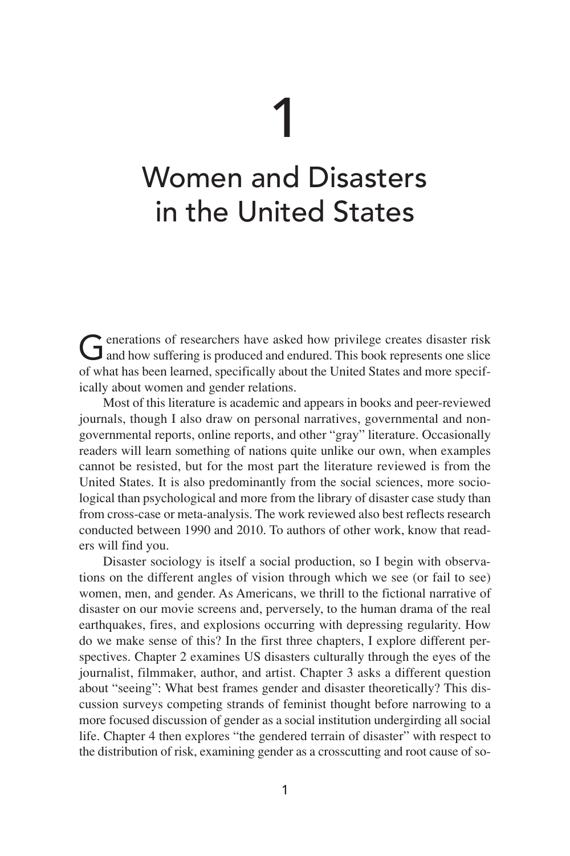## 1

## Women and Disasters in the United States

Generations of researchers have asked how privilege creates disaster risk<br>and how suffering is produced and endured. This book represents one slice of what has been learned, specifically about the United States and more specifically about women and gender relations.

Most of this literature is academic and appears in books and peer-reviewed journals, though I also draw on personal narratives, governmental and nongovernmental reports, online reports, and other "gray" literature. Occasionally readers will learn something of nations quite unlike our own, when examples cannot be resisted, but for the most part the literature reviewed is from the United States. It is also predominantly from the social sciences, more sociological than psychological and more from the library of disaster case study than from cross-case or meta-analysis. The work reviewed also best reflects research conducted between 1990 and 2010. To authors of other work, know that readers will find you.

Disaster sociology is itself a social production, so I begin with observations on the different angles of vision through which we see (or fail to see) women, men, and gender. As Americans, we thrill to the fictional narrative of disaster on our movie screens and, perversely, to the human drama of the real earthquakes, fires, and explosions occurring with depressing regularity. How do we make sense of this? In the first three chapters, I explore different perspectives. Chapter 2 examines US disasters culturally through the eyes of the journalist, filmmaker, author, and artist. Chapter 3 asks a different question about "seeing": What best frames gender and disaster theoretically? This discussion surveys competing strands of feminist thought before narrowing to a more focused discussion of gender as a social institution undergirding all social life. Chapter 4 then explores "the gendered terrain of disaster" with respect to the distribution of risk, examining gender as a crosscutting and root cause of so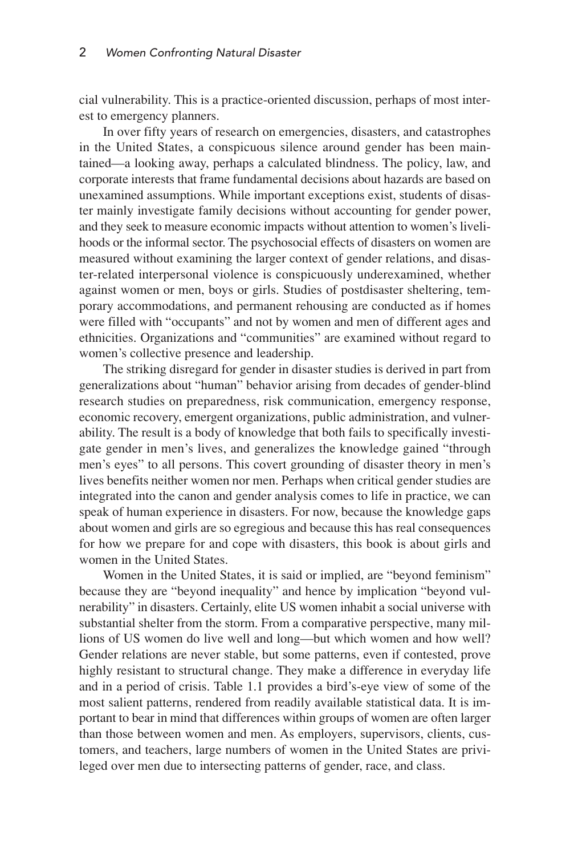cial vulnerability. This is a practice-oriented discussion, perhaps of most interest to emergency planners.

In over fifty years of research on emergencies, disasters, and catastrophes in the United States, a conspicuous silence around gender has been maintained—a looking away, perhaps a calculated blindness. The policy, law, and corporate interests that frame fundamental decisions about hazards are based on unexamined assumptions. While important exceptions exist, students of disaster mainly investigate family decisions without accounting for gender power, and they seek to measure economic impacts without attention to women's livelihoods or the informal sector. The psychosocial effects of disasters on women are measured without examining the larger context of gender relations, and disaster-related interpersonal violence is conspicuously underexamined, whether against women or men, boys or girls. Studies of postdisaster sheltering, temporary accommodations, and permanent rehousing are conducted as if homes were filled with "occupants" and not by women and men of different ages and ethnicities. Organizations and "communities" are examined without regard to women's collective presence and leadership.

The striking disregard for gender in disaster studies is derived in part from generalizations about "human" behavior arising from decades of gender-blind research studies on preparedness, risk communication, emergency response, economic recovery, emergent organizations, public administration, and vulnerability. The result is a body of knowledge that both fails to specifically investigate gender in men's lives, and generalizes the knowledge gained "through men's eyes" to all persons. This covert grounding of disaster theory in men's lives benefits neither women nor men. Perhaps when critical gender studies are integrated into the canon and gender analysis comes to life in practice, we can speak of human experience in disasters. For now, because the knowledge gaps about women and girls are so egregious and because this has real consequences for how we prepare for and cope with disasters, this book is about girls and women in the United States.

Women in the United States, it is said or implied, are "beyond feminism" because they are "beyond inequality" and hence by implication "beyond vulnerability" in disasters. Certainly, elite US women inhabit a social universe with substantial shelter from the storm. From a comparative perspective, many millions of US women do live well and long—but which women and how well? Gender relations are never stable, but some patterns, even if contested, prove highly resistant to structural change. They make a difference in everyday life and in a period of crisis. Table 1.1 provides a bird's-eye view of some of the most salient patterns, rendered from readily available statistical data. It is important to bear in mind that differences within groups of women are often larger than those between women and men. As employers, supervisors, clients, customers, and teachers, large numbers of women in the United States are privileged over men due to intersecting patterns of gender, race, and class.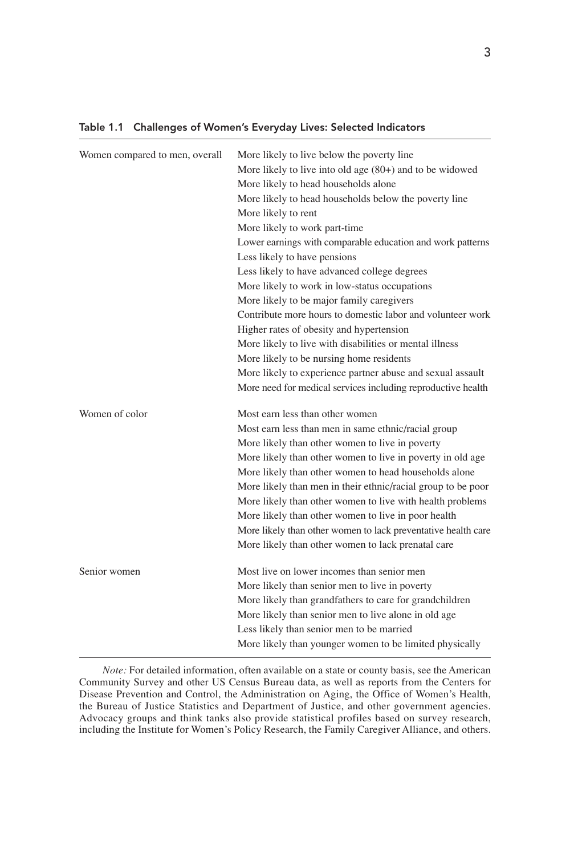| Women compared to men, overall | More likely to live below the poverty line                    |
|--------------------------------|---------------------------------------------------------------|
|                                | More likely to live into old age $(80+)$ and to be widowed    |
|                                | More likely to head households alone                          |
|                                | More likely to head households below the poverty line         |
|                                | More likely to rent                                           |
|                                | More likely to work part-time                                 |
|                                | Lower earnings with comparable education and work patterns    |
|                                | Less likely to have pensions                                  |
|                                | Less likely to have advanced college degrees                  |
|                                | More likely to work in low-status occupations                 |
|                                | More likely to be major family caregivers                     |
|                                | Contribute more hours to domestic labor and volunteer work    |
|                                | Higher rates of obesity and hypertension                      |
|                                | More likely to live with disabilities or mental illness       |
|                                | More likely to be nursing home residents                      |
|                                | More likely to experience partner abuse and sexual assault    |
|                                | More need for medical services including reproductive health  |
| Women of color                 | Most earn less than other women                               |
|                                | Most earn less than men in same ethnic/racial group           |
|                                | More likely than other women to live in poverty               |
|                                | More likely than other women to live in poverty in old age    |
|                                | More likely than other women to head households alone         |
|                                | More likely than men in their ethnic/racial group to be poor  |
|                                | More likely than other women to live with health problems     |
|                                | More likely than other women to live in poor health           |
|                                | More likely than other women to lack preventative health care |
|                                | More likely than other women to lack prenatal care            |
| Senior women                   | Most live on lower incomes than senior men                    |
|                                | More likely than senior men to live in poverty                |
|                                | More likely than grandfathers to care for grandchildren       |
|                                | More likely than senior men to live alone in old age          |
|                                | Less likely than senior men to be married                     |
|                                | More likely than younger women to be limited physically       |

## Table 1.1 Challenges of Women's Everyday Lives: Selected Indicators

*Note:* For detailed information, often available on a state or county basis, see the American Community Survey and other US Census Bureau data, as well as reports from the Centers for Disease Prevention and Control, the Administration on Aging, the Office of Women's Health, the Bureau of Justice Statistics and Department of Justice, and other government agencies. Advocacy groups and think tanks also provide statistical profiles based on survey research, including the Institute for Women's Policy Research, the Family Caregiver Alliance, and others.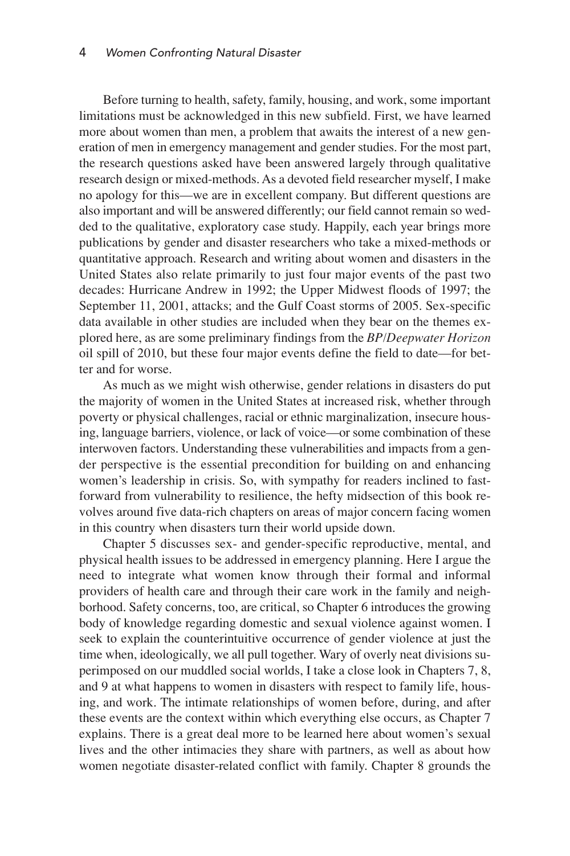Before turning to health, safety, family, housing, and work, some important limitations must be acknowledged in this new subfield. First, we have learned more about women than men, a problem that awaits the interest of a new generation of men in emergency management and gender studies. For the most part, the research questions asked have been answered largely through qualitative research design or mixed-methods. As a devoted field researcher myself, I make no apology for this—we are in excellent company. But different questions are also important and will be answered differently; our field cannot remain so wedded to the qualitative, exploratory case study. Happily, each year brings more publications by gender and disaster researchers who take a mixed-methods or quantitative approach. Research and writing about women and disasters in the United States also relate primarily to just four major events of the past two decades: Hurricane Andrew in 1992; the Upper Midwest floods of 1997; the September 11, 2001, attacks; and the Gulf Coast storms of 2005. Sex-specific data available in other studies are included when they bear on the themes explored here, as are some preliminary findings from the *BP/Deepwater Horizon* oil spill of 2010, but these four major events define the field to date—for better and for worse.

As much as we might wish otherwise, gender relations in disasters do put the majority of women in the United States at increased risk, whether through poverty or physical challenges, racial or ethnic marginalization, insecure housing, language barriers, violence, or lack of voice—or some combination of these interwoven factors. Understanding these vulnerabilities and impacts from a gender perspective is the essential precondition for building on and enhancing women's leadership in crisis. So, with sympathy for readers inclined to fastforward from vulnerability to resilience, the hefty midsection of this book revolves around five data-rich chapters on areas of major concern facing women in this country when disasters turn their world upside down.

Chapter 5 discusses sex- and gender-specific reproductive, mental, and physical health issues to be addressed in emergency planning. Here I argue the need to integrate what women know through their formal and informal providers of health care and through their care work in the family and neighborhood. Safety concerns, too, are critical, so Chapter 6 introduces the growing body of knowledge regarding domestic and sexual violence against women. I seek to explain the counterintuitive occurrence of gender violence at just the time when, ideologically, we all pull together. Wary of overly neat divisions superimposed on our muddled social worlds, I take a close look in Chapters 7, 8, and 9 at what happens to women in disasters with respect to family life, housing, and work. The intimate relationships of women before, during, and after these events are the context within which everything else occurs, as Chapter 7 explains. There is a great deal more to be learned here about women's sexual lives and the other intimacies they share with partners, as well as about how women negotiate disaster-related conflict with family. Chapter 8 grounds the